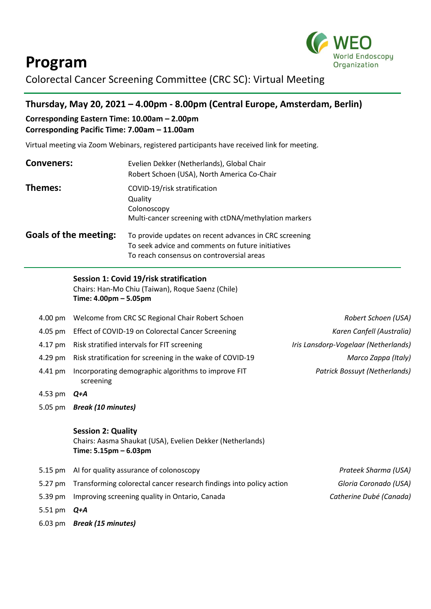



Colorectal Cancer Screening Committee (CRC SC): Virtual Meeting

## **Thursday, May 20, 2021 – 4.00pm - 8.00pm (Central Europe, Amsterdam, Berlin)**

#### **Corresponding Eastern Time: 10.00am – 2.00pm Corresponding Pacific Time: 7.00am – 11.00am**

Virtual meeting via Zoom Webinars, registered participants have received link for meeting.

| <b>Conveners:</b>            | Evelien Dekker (Netherlands), Global Chair<br>Robert Schoen (USA), North America Co-Chair                                                                |  |
|------------------------------|----------------------------------------------------------------------------------------------------------------------------------------------------------|--|
| Themes:                      | COVID-19/risk stratification<br>Quality<br>Colonoscopy<br>Multi-cancer screening with ctDNA/methylation markers                                          |  |
| <b>Goals of the meeting:</b> | To provide updates on recent advances in CRC screening<br>To seek advice and comments on future initiatives<br>To reach consensus on controversial areas |  |

### **Session 1: Covid 19/risk stratification**

Chairs: Han-Mo Chiu (Taiwan), Roque Saenz (Chile) **Time: 4.00pm – 5.05pm**

|         | 4.00 pm Welcome from CRC SC Regional Chair Robert Schoen          | Robert Schoen (USA)                  |
|---------|-------------------------------------------------------------------|--------------------------------------|
|         | 4.05 pm Effect of COVID-19 on Colorectal Cancer Screening         | Karen Canfell (Australia)            |
|         | 4.17 pm Risk stratified intervals for FIT screening               | Iris Lansdorp-Vogelaar (Netherlands) |
|         | 4.29 pm Risk stratification for screening in the wake of COVID-19 | Marco Zappa (Italy)                  |
| 4.41 pm | Incorporating demographic algorithms to improve FIT<br>screening  | <b>Patrick Bossuyt (Netherlands)</b> |

- 4.53 pm *Q+A*
- 5.05 pm *Break (10 minutes)*

#### **Session 2: Quality**

Chairs: Aasma Shaukat (USA), Evelien Dekker (Netherlands) **Time: 5.15pm – 6.03pm**

- 5.15 pm AI for quality assurance of colonoscopy *Prateek Sharma (USA)*  5.27 pm Transforming colorectal cancer research findings into policy action *Gloria Coronado (USA)* 5.39 pm Improving screening quality in Ontario, Canada *Catherine Dubé (Canada)*
- 5.51 pm *Q+A*
- 6.03 pm *Break (15 minutes)*